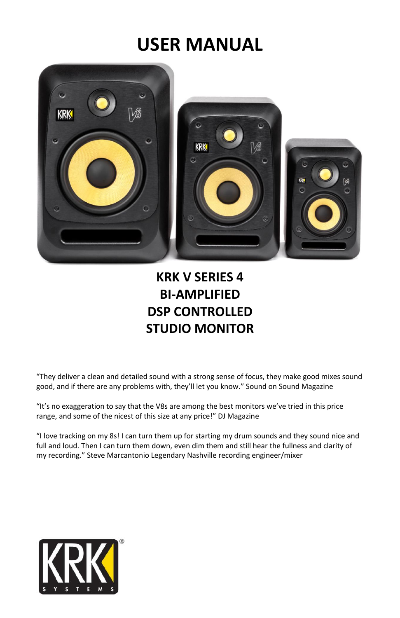# **USER MANUAL**



# **KRK V SERIES 4 BI-AMPLIFIED DSP CONTROLLED STUDIO MONITOR**

"They deliver a clean and detailed sound with a strong sense of focus, they make good mixes sound good, and if there are any problems with, they'll let you know." Sound on Sound Magazine

"It's no exaggeration to say that the V8s are among the best monitors we've tried in this price range, and some of the nicest of this size at any price!" DJ Magazine

"I love tracking on my 8s! I can turn them up for starting my drum sounds and they sound nice and full and loud. Then I can turn them down, even dim them and still hear the fullness and clarity of my recording." Steve Marcantonio Legendary Nashville recording engineer/mixer

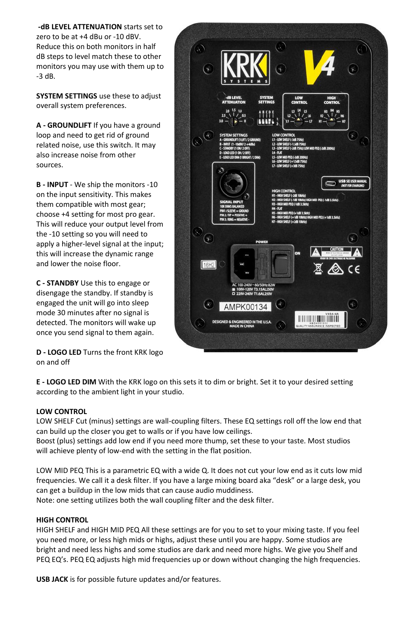**-dB LEVEL ATTENUATION** starts set to zero to be at +4 dBu or -10 dBV. Reduce this on both monitors in half dB steps to level match these to other monitors you may use with them up to -3 dB.

**SYSTEM SETTINGS** use these to adjust overall system preferences.

**A - GROUNDLIFT** If you have a ground loop and need to get rid of ground related noise, use this switch. It may also increase noise from other sources.

**B - INPUT** - We ship the monitors -10 on the input sensitivity. This makes them compatible with most gear; choose +4 setting for most pro gear. This will reduce your output level from the -10 setting so you will need to apply a higher-level signal at the input; this will increase the dynamic range and lower the noise floor.

**C - STANDBY** Use this to engage or disengage the standby. If standby is engaged the unit will go into sleep mode 30 minutes after no signal is detected. The monitors will wake up once you send signal to them again.

**D - LOGO LED** Turns the front KRK logo on and off



**E - LOGO LED DIM** With the KRK logo on this sets it to dim or bright. Set it to your desired setting according to the ambient light in your studio.

# **LOW CONTROL**

LOW SHELF Cut (minus) settings are wall-coupling filters. These EQ settings roll off the low end that can build up the closer you get to walls or if you have low ceilings.

Boost (plus) settings add low end if you need more thump, set these to your taste. Most studios will achieve plenty of low-end with the setting in the flat position.

LOW MID PEQ This is a parametric EQ with a wide Q. It does not cut your low end as it cuts low mid frequencies. We call it a desk filter. If you have a large mixing board aka "desk" or a large desk, you can get a buildup in the low mids that can cause audio muddiness.

Note: one setting utilizes both the wall coupling filter and the desk filter.

## **HIGH CONTROL**

HIGH SHELF and HIGH MID PEQ All these settings are for you to set to your mixing taste. If you feel you need more, or less high mids or highs, adjust these until you are happy. Some studios are bright and need less highs and some studios are dark and need more highs. We give you Shelf and PEQ EQ's. PEQ EQ adjusts high mid frequencies up or down without changing the high frequencies.

**USB JACK** is for possible future updates and/or features.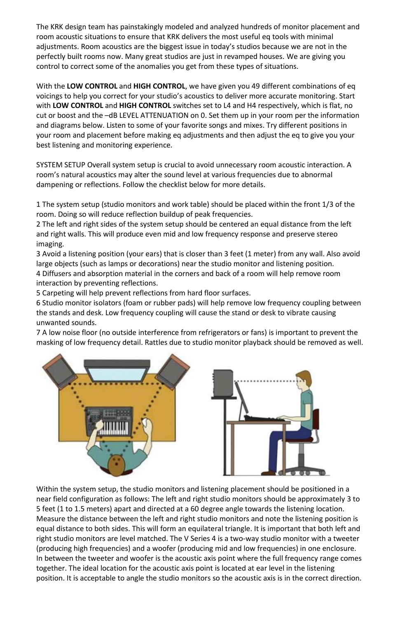The KRK design team has painstakingly modeled and analyzed hundreds of monitor placement and room acoustic situations to ensure that KRK delivers the most useful eq tools with minimal adjustments. Room acoustics are the biggest issue in today's studios because we are not in the perfectly built rooms now. Many great studios are just in revamped houses. We are giving you control to correct some of the anomalies you get from these types of situations.

With the **LOW CONTROL** and **HIGH CONTROL**, we have given you 49 different combinations of eq voicings to help you correct for your studio's acoustics to deliver more accurate monitoring. Start with **LOW CONTROL** and **HIGH CONTROL** switches set to L4 and H4 respectively, which is flat, no cut or boost and the –dB LEVEL ATTENUATION on 0. Set them up in your room per the information and diagrams below. Listen to some of your favorite songs and mixes. Try different positions in your room and placement before making eq adjustments and then adjust the eq to give you your best listening and monitoring experience.

SYSTEM SETUP Overall system setup is crucial to avoid unnecessary room acoustic interaction. A room's natural acoustics may alter the sound level at various frequencies due to abnormal dampening or reflections. Follow the checklist below for more details.

1 The system setup (studio monitors and work table) should be placed within the front 1/3 of the room. Doing so will reduce reflection buildup of peak frequencies.

2 The left and right sides of the system setup should be centered an equal distance from the left and right walls. This will produce even mid and low frequency response and preserve stereo imaging.

3 Avoid a listening position (your ears) that is closer than 3 feet (1 meter) from any wall. Also avoid large objects (such as lamps or decorations) near the studio monitor and listening position.

4 Diffusers and absorption material in the corners and back of a room will help remove room interaction by preventing reflections.

5 Carpeting will help prevent reflections from hard floor surfaces.

6 Studio monitor isolators (foam or rubber pads) will help remove low frequency coupling between the stands and desk. Low frequency coupling will cause the stand or desk to vibrate causing unwanted sounds.

7 A low noise floor (no outside interference from refrigerators or fans) is important to prevent the masking of low frequency detail. Rattles due to studio monitor playback should be removed as well.



 Within the system setup, the studio monitors and listening placement should be positioned in a near field configuration as follows: The left and right studio monitors should be approximately 3 to 5 feet (1 to 1.5 meters) apart and directed at a 60 degree angle towards the listening location. Measure the distance between the left and right studio monitors and note the listening position is equal distance to both sides. This will form an equilateral triangle. It is important that both left and right studio monitors are level matched. The V Series 4 is a two-way studio monitor with a tweeter (producing high frequencies) and a woofer (producing mid and low frequencies) in one enclosure. In between the tweeter and woofer is the acoustic axis point where the full frequency range comes together. The ideal location for the acoustic axis point is located at ear level in the listening position. It is acceptable to angle the studio monitors so the acoustic axis is in the correct direction.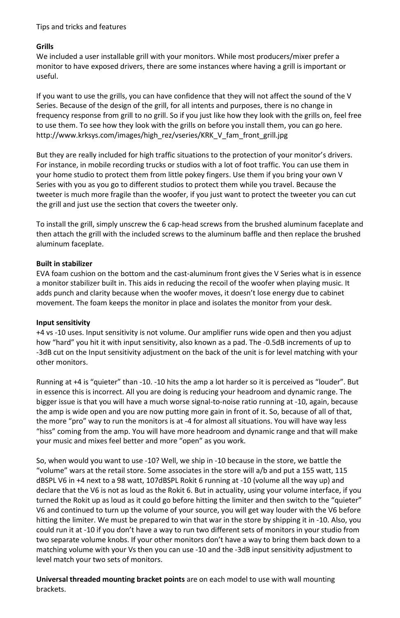# Tips and tricks and features

# **Grills**

We included a user installable grill with your monitors. While most producers/mixer prefer a monitor to have exposed drivers, there are some instances where having a grill is important or useful.

If you want to use the grills, you can have confidence that they will not affect the sound of the V Series. Because of the design of the grill, for all intents and purposes, there is no change in frequency response from grill to no grill. So if you just like how they look with the grills on, feel free to use them. To see how they look with the grills on before you install them, you can go here. http://www.krksys.com/images/high\_rez/vseries/KRK\_V\_fam\_front\_grill.jpg

But they are really included for high traffic situations to the protection of your monitor's drivers. For instance, in mobile recording trucks or studios with a lot of foot traffic. You can use them in your home studio to protect them from little pokey fingers. Use them if you bring your own V Series with you as you go to different studios to protect them while you travel. Because the tweeter is much more fragile than the woofer, if you just want to protect the tweeter you can cut the grill and just use the section that covers the tweeter only.

To install the grill, simply unscrew the 6 cap-head screws from the brushed aluminum faceplate and then attach the grill with the included screws to the aluminum baffle and then replace the brushed aluminum faceplate.

# **Built in stabilizer**

EVA foam cushion on the bottom and the cast-aluminum front gives the V Series what is in essence a monitor stabilizer built in. This aids in reducing the recoil of the woofer when playing music. It adds punch and clarity because when the woofer moves, it doesn't lose energy due to cabinet movement. The foam keeps the monitor in place and isolates the monitor from your desk.

## **Input sensitivity**

+4 vs -10 uses. Input sensitivity is not volume. Our amplifier runs wide open and then you adjust how "hard" you hit it with input sensitivity, also known as a pad. The -0.5dB increments of up to -3dB cut on the Input sensitivity adjustment on the back of the unit is for level matching with your other monitors.

Running at +4 is "quieter" than -10. -10 hits the amp a lot harder so it is perceived as "louder". But in essence this is incorrect. All you are doing is reducing your headroom and dynamic range. The bigger issue is that you will have a much worse signal-to-noise ratio running at -10, again, because the amp is wide open and you are now putting more gain in front of it. So, because of all of that, the more "pro" way to run the monitors is at -4 for almost all situations. You will have way less "hiss" coming from the amp. You will have more headroom and dynamic range and that will make your music and mixes feel better and more "open" as you work.

So, when would you want to use -10? Well, we ship in -10 because in the store, we battle the "volume" wars at the retail store. Some associates in the store will a/b and put a 155 watt, 115 dBSPL V6 in +4 next to a 98 watt, 107dBSPL Rokit 6 running at -10 (volume all the way up) and declare that the V6 is not as loud as the Rokit 6. But in actuality, using your volume interface, if you turned the Rokit up as loud as it could go before hitting the limiter and then switch to the "quieter" V6 and continued to turn up the volume of your source, you will get way louder with the V6 before hitting the limiter. We must be prepared to win that war in the store by shipping it in -10. Also, you could run it at -10 if you don't have a way to run two different sets of monitors in your studio from two separate volume knobs. If your other monitors don't have a way to bring them back down to a matching volume with your Vs then you can use -10 and the -3dB input sensitivity adjustment to level match your two sets of monitors.

**Universal threaded mounting bracket points** are on each model to use with wall mounting brackets.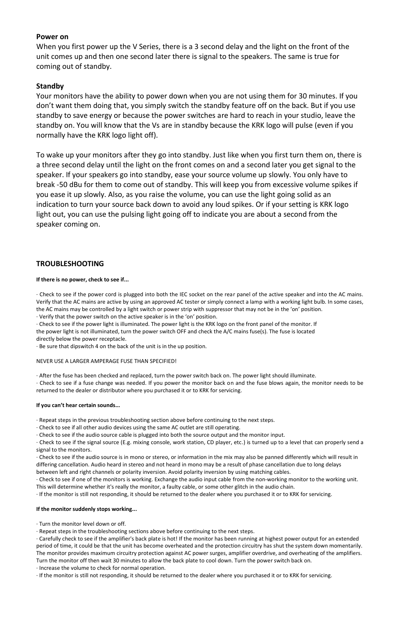#### **Power on**

When you first power up the V Series, there is a 3 second delay and the light on the front of the unit comes up and then one second later there is signal to the speakers. The same is true for coming out of standby.

#### **Standby**

Your monitors have the ability to power down when you are not using them for 30 minutes. If you don't want them doing that, you simply switch the standby feature off on the back. But if you use standby to save energy or because the power switches are hard to reach in your studio, leave the standby on. You will know that the Vs are in standby because the KRK logo will pulse (even if you normally have the KRK logo light off).

To wake up your monitors after they go into standby. Just like when you first turn them on, there is a three second delay until the light on the front comes on and a second later you get signal to the speaker. If your speakers go into standby, ease your source volume up slowly. You only have to break -50 dBu for them to come out of standby. This will keep you from excessive volume spikes if you ease it up slowly. Also, as you raise the volume, you can use the light going solid as an indication to turn your source back down to avoid any loud spikes. Or if your setting is KRK logo light out, you can use the pulsing light going off to indicate you are about a second from the speaker coming on.

#### **TROUBLESHOOTING**

#### **If there is no power, check to see if...**

· Check to see if the power cord is plugged into both the IEC socket on the rear panel of the active speaker and into the AC mains. Verify that the AC mains are active by using an approved AC tester or simply connect a lamp with a working light bulb. In some cases, the AC mains may be controlled by a light switch or power strip with suppressor that may not be in the 'on' position. · Verify that the power switch on the active speaker is in the 'on' position.

· Check to see if the power light is illuminated. The power light is the KRK logo on the front panel of the monitor. If the power light is not illuminated, turn the power switch OFF and check the A/C mains fuse(s). The fuse is located

directly below the power receptacle.

· Be sure that dipswitch 4 on the back of the unit is in the up position.

#### NEVER USE A LARGER AMPERAGE FUSE THAN SPECIFIED!

· After the fuse has been checked and replaced, turn the power switch back on. The power light should illuminate.

· Check to see if a fuse change was needed. If you power the monitor back on and the fuse blows again, the monitor needs to be returned to the dealer or distributor where you purchased it or to KRK for servicing.

#### **If you can't hear certain sounds...**

· Repeat steps in the previous troubleshooting section above before continuing to the next steps.

· Check to see if all other audio devices using the same AC outlet are still operating.

· Check to see if the audio source cable is plugged into both the source output and the monitor input.

· Check to see if the signal source (E.g. mixing console, work station, CD player, etc.) is turned up to a level that can properly send a signal to the monitors.

· Check to see if the audio source is in mono or stereo, or information in the mix may also be panned differently which will result in differing cancellation. Audio heard in stereo and not heard in mono may be a result of phase cancellation due to long delays between left and right channels or polarity inversion. Avoid polarity inversion by using matching cables.

· Check to see if one of the monitors is working. Exchange the audio input cable from the non-working monitor to the working unit. This will determine whether it's really the monitor, a faulty cable, or some other glitch in the audio chain.

· If the monitor is still not responding, it should be returned to the dealer where you purchased it or to KRK for servicing.

#### **If the monitor suddenly stops working...**

· Turn the monitor level down or off.

· Repeat steps in the troubleshooting sections above before continuing to the next steps.

· Carefully check to see if the amplifier's back plate is hot! If the monitor has been running at highest power output for an extended period of time, it could be that the unit has become overheated and the protection circuitry has shut the system down momentarily. The monitor provides maximum circuitry protection against AC power surges, amplifier overdrive, and overheating of the amplifiers. Turn the monitor off then wait 30 minutes to allow the back plate to cool down. Turn the power switch back on.

· Increase the volume to check for normal operation.

· If the monitor is still not responding, it should be returned to the dealer where you purchased it or to KRK for servicing.